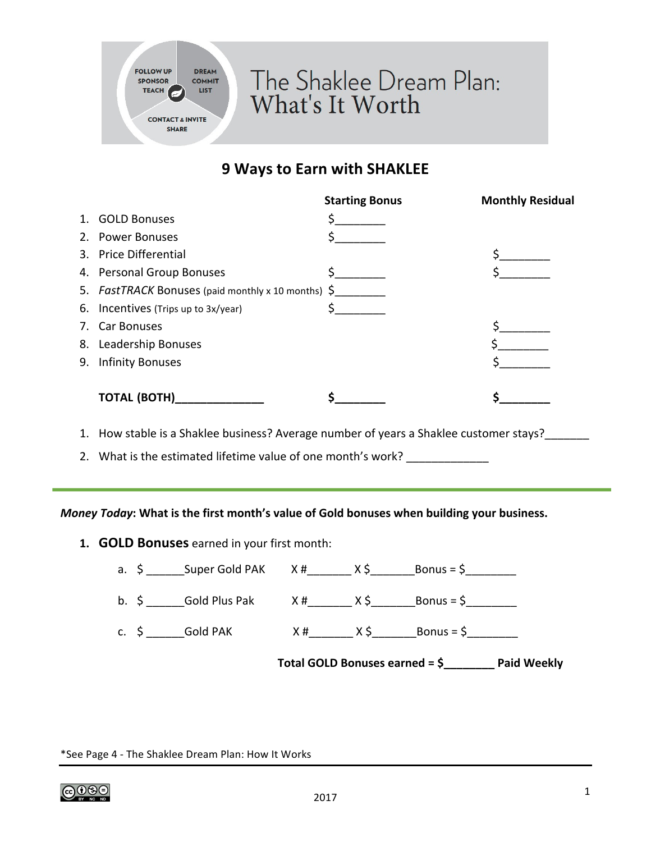

## **9 Ways to Earn with SHAKLEE**

|                                                    | <b>Starting Bonus</b> | <b>Monthly Residual</b> |
|----------------------------------------------------|-----------------------|-------------------------|
| 1. GOLD Bonuses                                    |                       |                         |
| 2. Power Bonuses                                   |                       |                         |
| 3. Price Differential                              |                       |                         |
| 4. Personal Group Bonuses                          |                       |                         |
| 5. FastTRACK Bonuses (paid monthly x 10 months) \$ |                       |                         |
| 6. Incentives (Trips up to 3x/year)                |                       |                         |
| 7. Car Bonuses                                     |                       |                         |
| 8. Leadership Bonuses                              |                       |                         |
| 9. Infinity Bonuses                                |                       |                         |
|                                                    |                       |                         |
| <b>TOTAL (BOTH)</b>                                |                       |                         |

1. How stable is a Shaklee business? Average number of years a Shaklee customer stays?

2. What is the estimated lifetime value of one month's work? \_\_\_\_\_\_\_\_\_\_\_\_

## *Money Today*: What is the first month's value of Gold bonuses when building your business.

1. **GOLD Bonuses** earned in your first month:

|  | Total GOLD Bonuses earned = $\frac{6}{2}$ Paid Weekly |  |                                                                                                                                                                                                                                 |
|--|-------------------------------------------------------|--|---------------------------------------------------------------------------------------------------------------------------------------------------------------------------------------------------------------------------------|
|  |                                                       |  | c. $\zeta$ Gold PAK $X #$ X $\zeta$ Bonus = $\zeta$                                                                                                                                                                             |
|  |                                                       |  | b. $\zeta$ Gold Plus Pak X # X \ge X \cdot 2 \ge X \cdot 2 \ge X \cdot 2 \ge X \cdot 2 \ge X \cdot 2 \ge X \cdot 2 \ge X \cdot 2 \ge X \cdot 2 \ge X \cdot 2 \ge X \cdot 2 \ge X \cdot 2 \ge X \cdot 2 \ge X \cdot 2 \ge X \cdo |
|  |                                                       |  | a. $\zeta$ _________ Super Gold PAK X #__________ X $\zeta$ _________Bonus = $\zeta$ _________                                                                                                                                  |

\*See Page 4 - The Shaklee Dream Plan: How It Works

|@0�⊜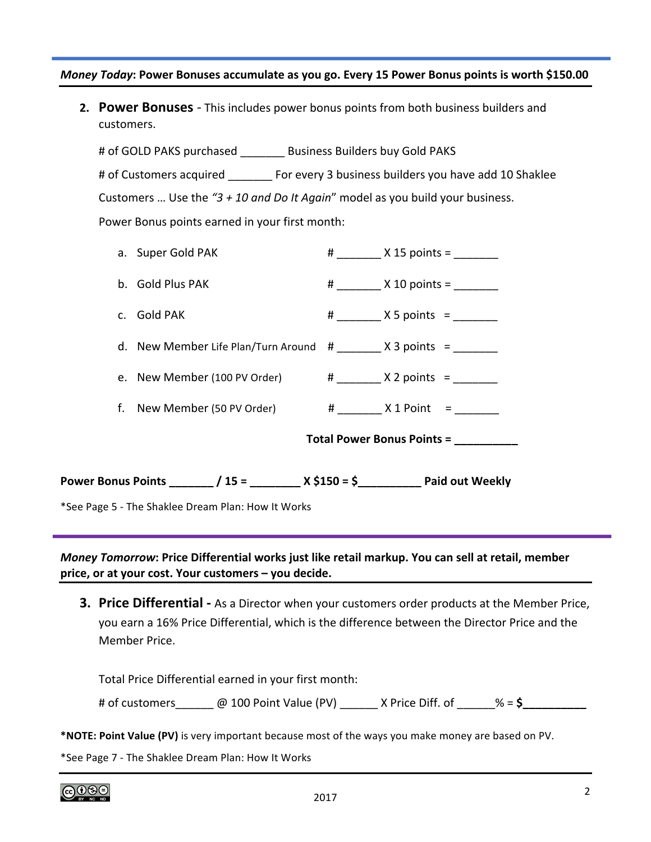## *Money Today*: Power Bonuses accumulate as you go. Every 15 Power Bonus points is worth \$150.00

**2. Power Bonuses** - This includes power bonus points from both business builders and customers. 

# of GOLD PAKS purchased \_\_\_\_\_\_\_\_ Business Builders buy Gold PAKS # of Customers acquired \_\_\_\_\_\_\_\_ For every 3 business builders you have add 10 Shaklee Customers ... Use the "3 + 10 and Do It Again" model as you build your business. Power Bonus points earned in your first month:

| *See Page 5 - The Shaklee Dream Plan: How It Works |                                                      |  |                    |  |
|----------------------------------------------------|------------------------------------------------------|--|--------------------|--|
|                                                    |                                                      |  |                    |  |
| Total Power Bonus Points = __________              |                                                      |  |                    |  |
|                                                    | f. New Member (50 PV Order) $\#$ X 1 Point =         |  |                    |  |
|                                                    | e. New Member (100 PV Order) $\#$ X 2 points =       |  |                    |  |
|                                                    | d. New Member Life Plan/Turn Around $#$ X 3 points = |  |                    |  |
|                                                    | c. Gold PAK                                          |  | $\#$ X 5 points =  |  |
|                                                    | b. Gold Plus PAK                                     |  | $\#$ X 10 points = |  |
|                                                    | a. Super Gold PAK                                    |  | $\#$ X 15 points = |  |

*Money Tomorrow*: Price Differential works just like retail markup. You can sell at retail, member price, or at your cost. Your customers - you decide.

**3. Price Differential -** As a Director when your customers order products at the Member Price, you earn a 16% Price Differential, which is the difference between the Director Price and the Member Price.

Total Price Differential earned in your first month: # of customers\_\_\_\_\_\_\_\_ @ 100 Point Value (PV) \_\_\_\_\_\_\_ X Price Diff. of \_\_\_\_\_ % = \$\_\_\_\_

\*NOTE: Point Value (PV) is very important because most of the ways you make money are based on PV.

\*See Page 7 - The Shaklee Dream Plan: How It Works

ெ⊛⊜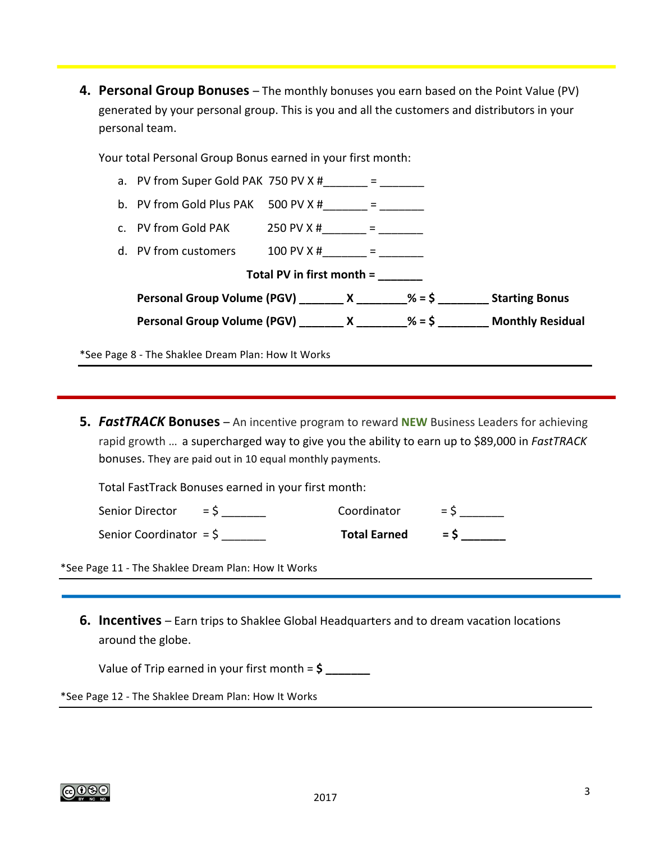**4. Personal Group Bonuses** – The monthly bonuses you earn based on the Point Value (PV) generated by your personal group. This is you and all the customers and distributors in your personal team.

Your total Personal Group Bonus earned in your first month:

| a. PV from Super Gold PAK 750 PV $\times$ # $=$                                    |  |  |  |                                                                                 |  |  |
|------------------------------------------------------------------------------------|--|--|--|---------------------------------------------------------------------------------|--|--|
| b. PV from Gold Plus PAK $500 \text{ PV X }#$ = $=$                                |  |  |  |                                                                                 |  |  |
| c. PV from Gold PAK 250 PV X #______ = ______                                      |  |  |  |                                                                                 |  |  |
| d. PV from customers $100 \text{ PV X }#$ = _______ = ________                     |  |  |  |                                                                                 |  |  |
| Total PV in first month =                                                          |  |  |  |                                                                                 |  |  |
| Personal Group Volume (PGV) _________ X _________% = \$ ___________ Starting Bonus |  |  |  |                                                                                 |  |  |
|                                                                                    |  |  |  | Personal Group Volume (PGV) ________ X ________% = \$ ________ Monthly Residual |  |  |
|                                                                                    |  |  |  |                                                                                 |  |  |

\*See Page 8 - The Shaklee Dream Plan: How It Works

**5. FastTRACK Bonuses** – An incentive program to reward **NEW** Business Leaders for achieving rapid growth ... a supercharged way to give you the ability to earn up to \$89,000 in *FastTRACK* bonuses. They are paid out in 10 equal monthly payments.

Total FastTrack Bonuses earned in your first month:

| Senior Director = $\zeta$          | Coordinator                   | $=$ S |
|------------------------------------|-------------------------------|-------|
| Senior Coordinator = $\frac{1}{2}$ | $Total\ Earned = \frac{1}{2}$ |       |

\*See Page 11 - The Shaklee Dream Plan: How It Works

**6. Incentives** – Earn trips to Shaklee Global Headquarters and to dream vacation locations around the globe.

Value of Trip earned in your first month  $=$  \$  $\frac{1}{2}$ 

\*See Page 12 - The Shaklee Dream Plan: How It Works

<u>(ෆු()(නල</u>